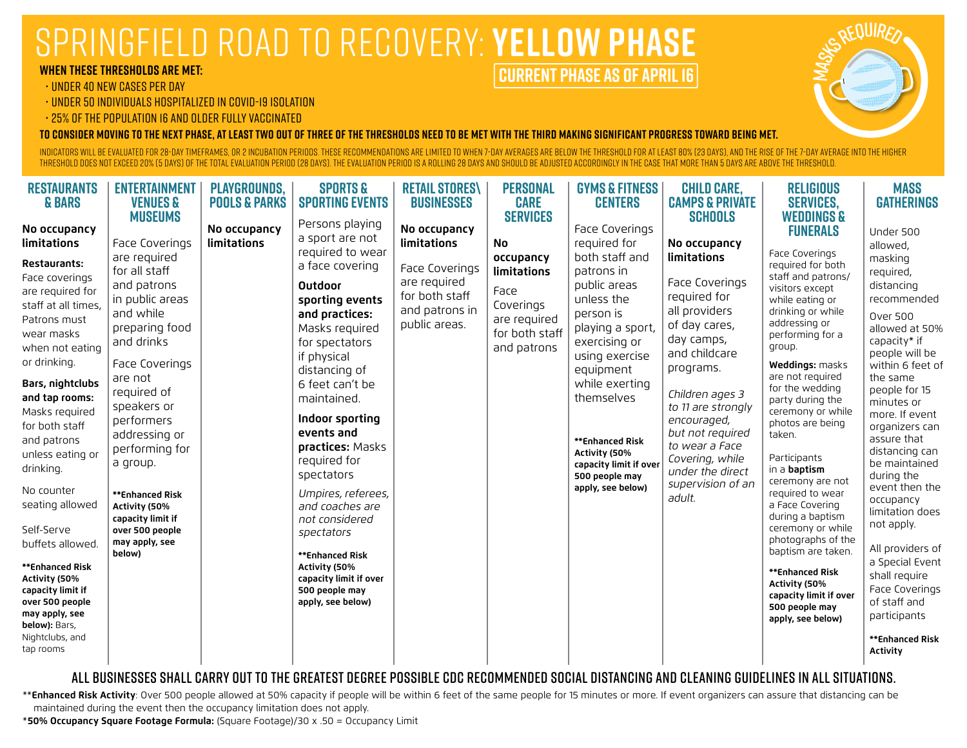## Springfield road to recovery: **YELLOW PHASE**

#### **WHEN these thresholds are Met:**

#### • UNDER 40 NEW CASES PER DAY

- UNDER 50 INDIVIDUALS HOSPITALIZED IN COVID-19 ISOLATION
- 25% OF THE POPULATION 16 AND OLDER FULLY VACCINATED

**To consider moving to the next phase, at least two out of three of the thresholds need to be met with the third making significant progress toward being met.** 

INDICATORS WILL BE EVALUATED FOR 28-DAY TIMEFRAMES, OR 2 INCUBATION PERIODS. THESE RECOMMENDATIONS ARE LIMITED TO WHEN 7-DAY AVERAGES ARE BELOW THE TIRESHOLD FOR AT LEAST 80% (23 DAYS), AND THE RISE OF THE 7-DAY AVERAGE IN threshold does not exceed 20% (5 days) of the total evaluation period (28 days). The evaluation period is a rolling 28 days and should be adjusted accordingly in the case that more than 5 days are above the threshold.

**CURRENT PHASE as of april 16**

| <b>RESTAURANTS</b><br><b>&amp; BARS</b><br>No occupancy<br>limitations<br>Restaurants:<br>Face coverings<br>are required for<br>staff at all times,<br>Patrons must<br>wear masks<br>when not eating<br>or drinking.<br>Bars, nightclubs<br>and tap rooms:<br>Masks required<br>for both staff<br>and patrons<br>unless eating or<br>drinking.<br>No counter<br>seating allowed<br>Self-Serve<br>buffets allowed.<br>**Enhanced Risk<br>Activity (50%<br>capacity limit if<br>over 500 people<br>may apply, see<br>below): Bars,<br>Nightclubs, and<br>tap rooms | <b>ENTERTAINMENT</b><br><b>VENUES &amp;</b><br><b>MUSEUMS</b><br>Face Coverings<br>are required<br>for all staff<br>and patrons<br>in public areas<br>and while<br>preparing food<br>and drinks<br>Face Coverings<br>are not<br>required of<br>speakers or<br>performers<br>addressing or<br>performing for<br>a group.<br>**Enhanced Risk<br>Activity (50%<br>capacity limit if<br>over 500 people<br>may apply, see<br>below) | <b>PLAYGROUNDS,</b><br><b>POOLS &amp; PARKS</b><br>No occupancy<br>limitations | <b>SPORTS &amp;</b><br><b>SPORTING EVENTS</b><br>Persons playing<br>a sport are not<br>required to wear<br>a face covering<br>Outdoor<br>sporting events<br>and practices:<br>Masks required<br>for spectators<br>if physical<br>distancing of<br>6 feet can't be<br>maintained.<br>Indoor sporting<br>events and<br>practices: Masks<br>required for<br>spectators<br>Umpires, referees,<br>and coaches are<br>not considered<br>spectators<br>**Enhanced Risk<br>Activity (50%<br>capacity limit if over<br>500 people may<br>apply, see below) | <b>RETAIL STORES\</b><br><b>BUSINESSES</b><br>No occupancy<br>limitations<br>Face Coverings<br>are required<br>for both staff<br>and patrons in<br>public areas. | <b>PERSONAL</b><br><b>CARE</b><br><b>SERVICES</b><br>No<br>occupancy<br>limitations<br>Face<br>Coverings<br>are required<br>for both staff<br>and patrons | <b>GYMS &amp; FITNESS</b><br><b>CENTERS</b><br>Face Coverings<br>required for<br>both staff and<br>patrons in<br>public areas<br>unless the<br>person is<br>playing a sport,<br>exercising or<br>using exercise<br>equipment<br>while exerting<br>themselves<br>**Enhanced Risk<br>Activity (50%<br>capacity limit if over<br>500 people may<br>apply, see below) | <b>CHILD CARE,</b><br><b>CAMPS &amp; PRIVATE</b><br><b>SCHOOLS</b><br>No occupancy<br>limitations<br>Face Coverings<br>required for<br>all providers<br>of day cares,<br>day camps,<br>and childcare<br>programs.<br>Children ages 3<br>to 11 are strongly<br>encouraged,<br>but not required<br>to wear a Face<br>Covering, while<br>under the direct<br>supervision of an<br>adult. | <b>RELIGIOUS</b><br><b>SERVICES,</b><br><b>WEDDINGS &amp;</b><br><b>FUNERALS</b><br>Face Coverings<br>required for both<br>staff and patrons/<br>visitors except<br>while eating or<br>drinking or while<br>addressing or<br>performing for a<br>group.<br>Weddings: masks<br>are not required<br>for the wedding<br>party during the<br>ceremony or while<br>photos are being<br>taken.<br>Participants<br>in a <b>baptism</b><br>ceremony are not<br>required to wear<br>a Face Covering<br>during a baptism<br>ceremony or while<br>photographs of the<br>baptism are taken.<br>**Enhanced Risk<br>Activity (50%<br>capacity limit if over<br>500 people may<br>apply, see below) | <b>MASS</b><br><b>GATHERINGS</b><br>Under 500<br>allowed,<br>masking<br>required,<br>distancing<br>recommended<br><b>Over 500</b><br>allowed at 50%<br>capacity* if<br>people will be<br>within 6 feet of<br>the same<br>people for 15<br>minutes or<br>more. If event<br>organizers can<br>assure that<br>distancing can<br>be maintained<br>during the<br>event then the<br>occupancy<br>limitation does<br>not apply.<br>All providers of<br>a Special Event<br>shall require<br>Face Coverings<br>of staff and<br>participants<br>**Enhanced Risk<br><b>Activity</b> |
|------------------------------------------------------------------------------------------------------------------------------------------------------------------------------------------------------------------------------------------------------------------------------------------------------------------------------------------------------------------------------------------------------------------------------------------------------------------------------------------------------------------------------------------------------------------|---------------------------------------------------------------------------------------------------------------------------------------------------------------------------------------------------------------------------------------------------------------------------------------------------------------------------------------------------------------------------------------------------------------------------------|--------------------------------------------------------------------------------|---------------------------------------------------------------------------------------------------------------------------------------------------------------------------------------------------------------------------------------------------------------------------------------------------------------------------------------------------------------------------------------------------------------------------------------------------------------------------------------------------------------------------------------------------|------------------------------------------------------------------------------------------------------------------------------------------------------------------|-----------------------------------------------------------------------------------------------------------------------------------------------------------|-------------------------------------------------------------------------------------------------------------------------------------------------------------------------------------------------------------------------------------------------------------------------------------------------------------------------------------------------------------------|---------------------------------------------------------------------------------------------------------------------------------------------------------------------------------------------------------------------------------------------------------------------------------------------------------------------------------------------------------------------------------------|--------------------------------------------------------------------------------------------------------------------------------------------------------------------------------------------------------------------------------------------------------------------------------------------------------------------------------------------------------------------------------------------------------------------------------------------------------------------------------------------------------------------------------------------------------------------------------------------------------------------------------------------------------------------------------------|--------------------------------------------------------------------------------------------------------------------------------------------------------------------------------------------------------------------------------------------------------------------------------------------------------------------------------------------------------------------------------------------------------------------------------------------------------------------------------------------------------------------------------------------------------------------------|
|------------------------------------------------------------------------------------------------------------------------------------------------------------------------------------------------------------------------------------------------------------------------------------------------------------------------------------------------------------------------------------------------------------------------------------------------------------------------------------------------------------------------------------------------------------------|---------------------------------------------------------------------------------------------------------------------------------------------------------------------------------------------------------------------------------------------------------------------------------------------------------------------------------------------------------------------------------------------------------------------------------|--------------------------------------------------------------------------------|---------------------------------------------------------------------------------------------------------------------------------------------------------------------------------------------------------------------------------------------------------------------------------------------------------------------------------------------------------------------------------------------------------------------------------------------------------------------------------------------------------------------------------------------------|------------------------------------------------------------------------------------------------------------------------------------------------------------------|-----------------------------------------------------------------------------------------------------------------------------------------------------------|-------------------------------------------------------------------------------------------------------------------------------------------------------------------------------------------------------------------------------------------------------------------------------------------------------------------------------------------------------------------|---------------------------------------------------------------------------------------------------------------------------------------------------------------------------------------------------------------------------------------------------------------------------------------------------------------------------------------------------------------------------------------|--------------------------------------------------------------------------------------------------------------------------------------------------------------------------------------------------------------------------------------------------------------------------------------------------------------------------------------------------------------------------------------------------------------------------------------------------------------------------------------------------------------------------------------------------------------------------------------------------------------------------------------------------------------------------------------|--------------------------------------------------------------------------------------------------------------------------------------------------------------------------------------------------------------------------------------------------------------------------------------------------------------------------------------------------------------------------------------------------------------------------------------------------------------------------------------------------------------------------------------------------------------------------|

## All businesses shall carry out to the greatest degree possible CDC recommended social distancing and cleaning guidelines in all situations.

\*\***Enhanced Risk Activity**: Over 500 people allowed at 50% capacity if people will be within 6 feet of the same people for 15 minutes or more. If event organizers can assure that distancing can be maintained during the event then the occupancy limitation does not apply.

\***50% Occupancy Square Footage Formula:** (Square Footage)/30 x .50 = Occupancy Limit